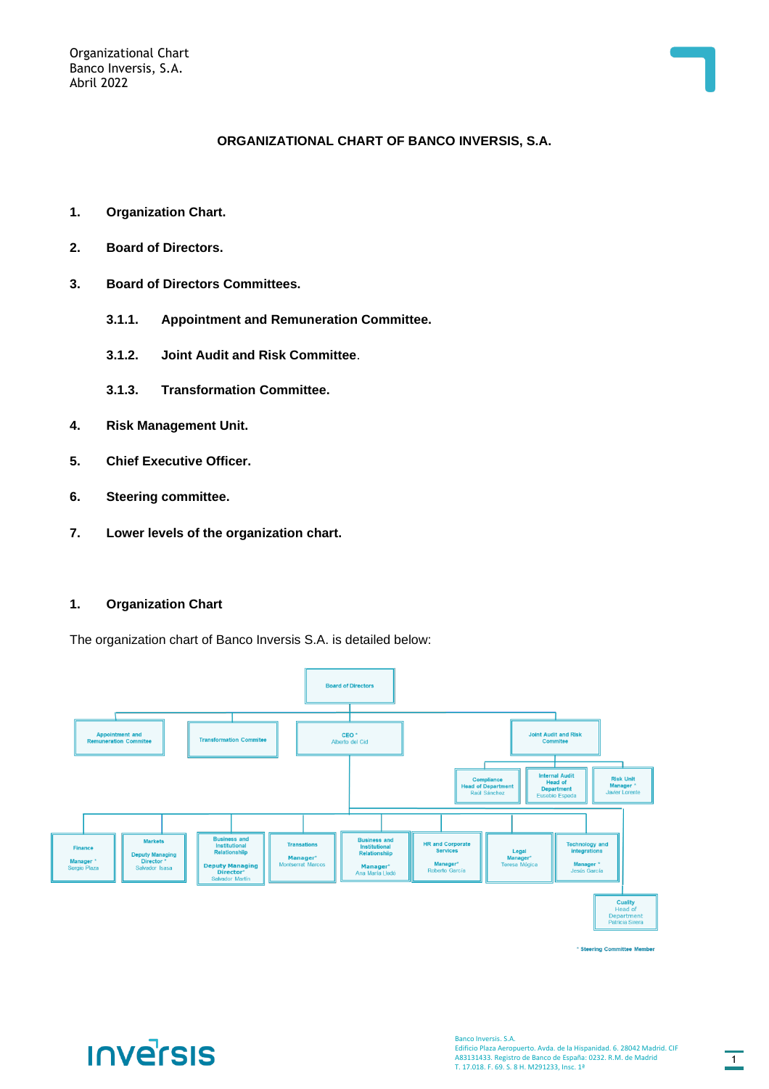# **ORGANIZATIONAL CHART OF BANCO INVERSIS, S.A.**

- **1. Organization Chart.**
- **2. Board of Directors.**
- **3. Board of Directors Committees.**
	- **3.1.1. Appointment and Remuneration Committee.**
	- **3.1.2. Joint Audit and Risk Committee**.
	- **3.1.3. Transformation Committee.**
- **4. Risk Management Unit.**
- **5. Chief Executive Officer.**
- **6. Steering committee.**
- **7. Lower levels of the organization chart.**
- **1. Organization Chart**

The organization chart of Banco Inversis S.A. is detailed below:



\* Steering Committee Member

# **INVETSIS**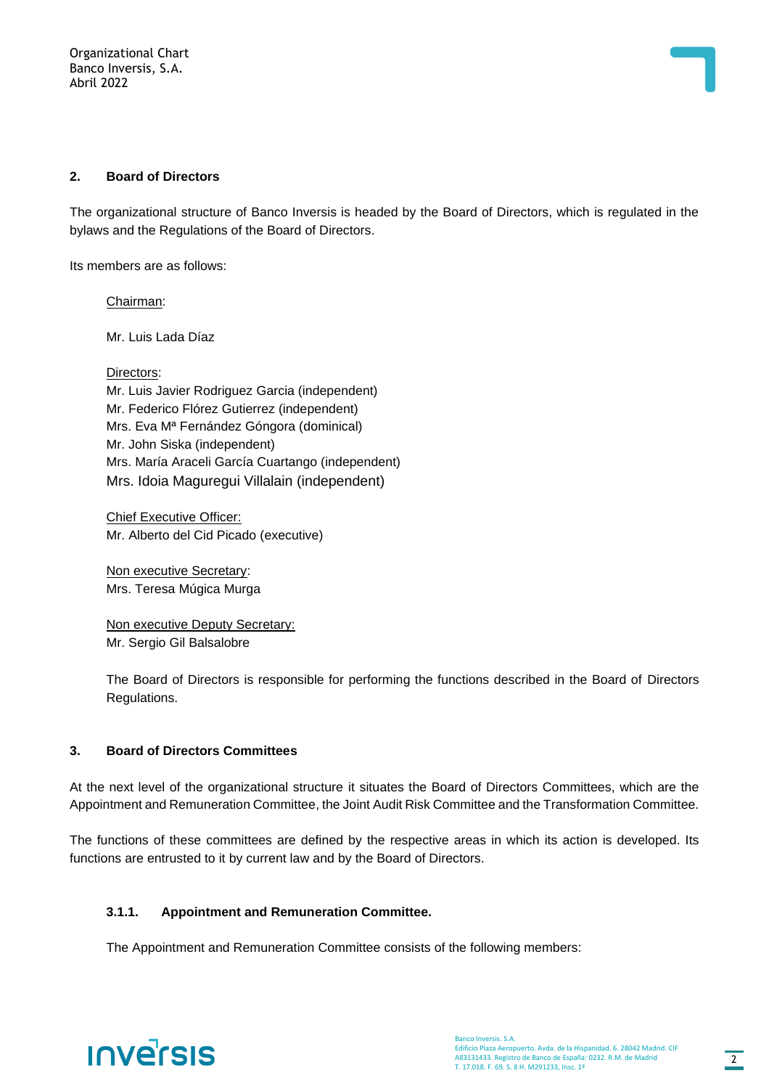## **2. Board of Directors**

The organizational structure of Banco Inversis is headed by the Board of Directors, which is regulated in the bylaws and the Regulations of the Board of Directors.

Its members are as follows:

Chairman:

Mr. Luis Lada Díaz

Directors: Mr. Luis Javier Rodriguez Garcia (independent) Mr. Federico Flórez Gutierrez (independent) Mrs. Eva Mª Fernández Góngora (dominical) Mr. John Siska (independent) Mrs. María Araceli García Cuartango (independent) Mrs. Idoia Maguregui Villalain (independent)

Chief Executive Officer: Mr. Alberto del Cid Picado (executive)

Non executive Secretary: Mrs. Teresa Múgica Murga

Non executive Deputy Secretary: Mr. Sergio Gil Balsalobre

The Board of Directors is responsible for performing the functions described in the Board of Directors Regulations.

## **3. Board of Directors Committees**

At the next level of the organizational structure it situates the Board of Directors Committees, which are the Appointment and Remuneration Committee, the Joint Audit Risk Committee and the Transformation Committee.

The functions of these committees are defined by the respective areas in which its action is developed. Its functions are entrusted to it by current law and by the Board of Directors.

## **3.1.1. Appointment and Remuneration Committee.**

The Appointment and Remuneration Committee consists of the following members:

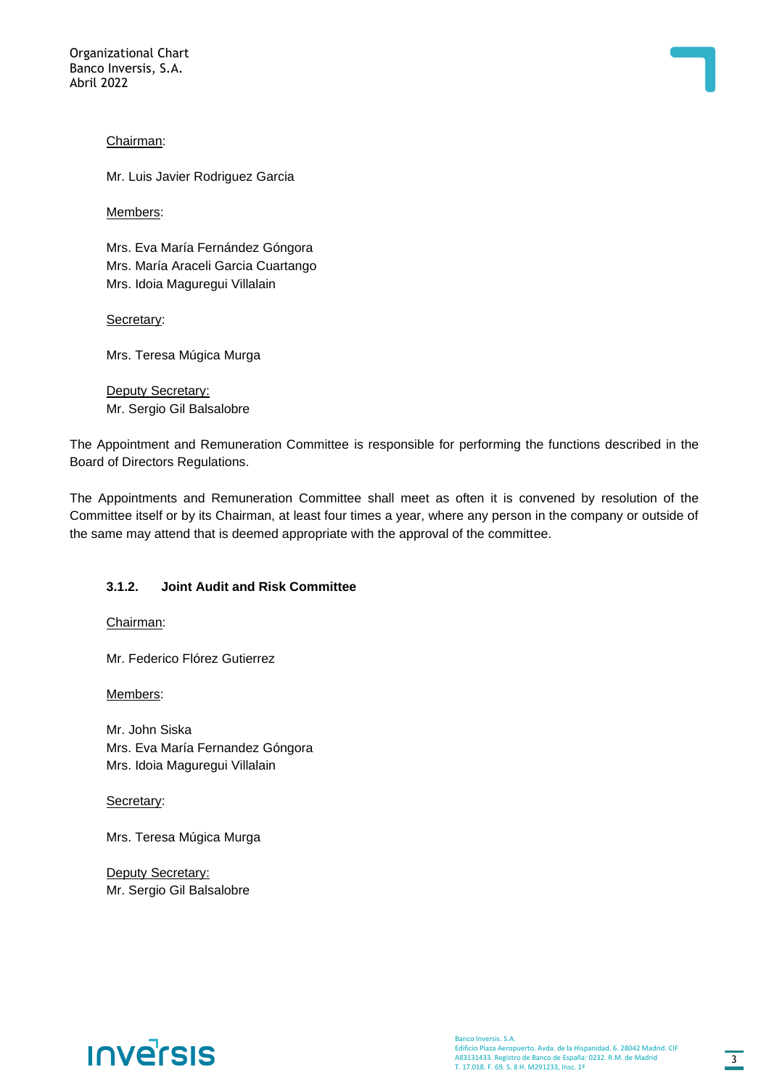#### Chairman:

Mr. Luis Javier Rodriguez Garcia

Members:

Mrs. Eva María Fernández Góngora Mrs. María Araceli Garcia Cuartango Mrs. Idoia Maguregui Villalain

Secretary:

Mrs. Teresa Múgica Murga

Deputy Secretary: Mr. Sergio Gil Balsalobre

The Appointment and Remuneration Committee is responsible for performing the functions described in the Board of Directors Regulations.

The Appointments and Remuneration Committee shall meet as often it is convened by resolution of the Committee itself or by its Chairman, at least four times a year, where any person in the company or outside of the same may attend that is deemed appropriate with the approval of the committee.

# **3.1.2. Joint Audit and Risk Committee**

Chairman:

Mr. Federico Flórez Gutierrez

Members:

Mr. John Siska Mrs. Eva María Fernandez Góngora Mrs. Idoia Maguregui Villalain

Secretary:

Mrs. Teresa Múgica Murga

Deputy Secretary: Mr. Sergio Gil Balsalobre

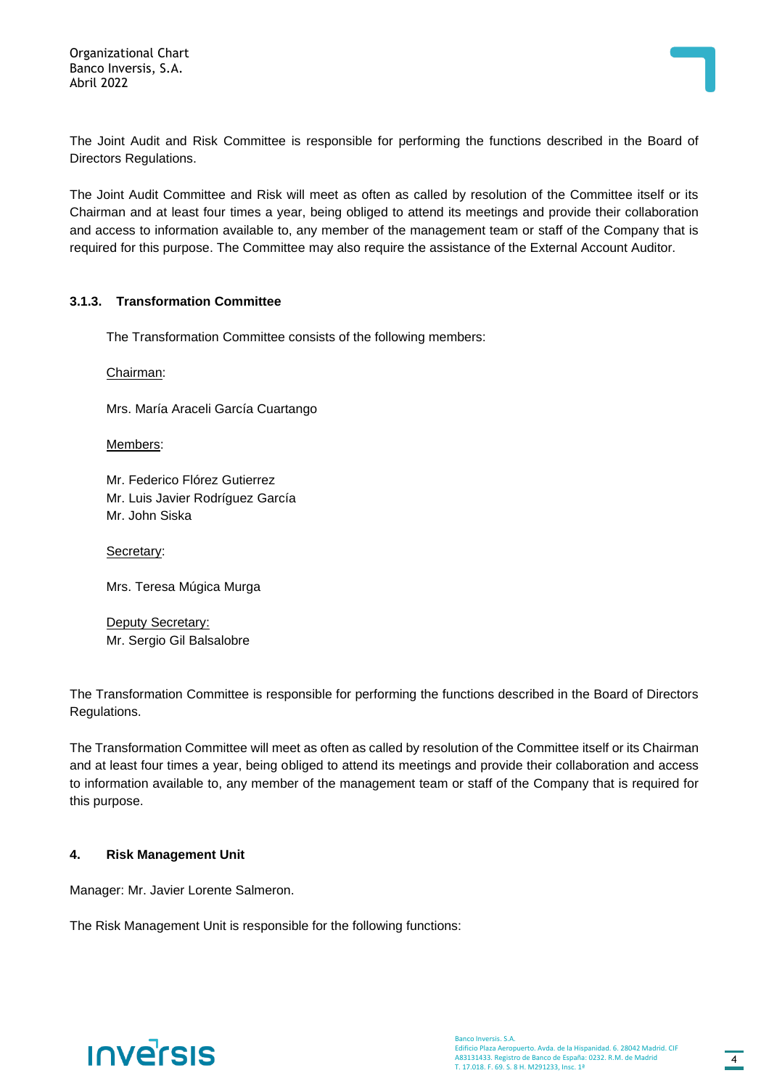

The Joint Audit and Risk Committee is responsible for performing the functions described in the Board of Directors Regulations.

The Joint Audit Committee and Risk will meet as often as called by resolution of the Committee itself or its Chairman and at least four times a year, being obliged to attend its meetings and provide their collaboration and access to information available to, any member of the management team or staff of the Company that is required for this purpose. The Committee may also require the assistance of the External Account Auditor.

## **3.1.3. Transformation Committee**

The Transformation Committee consists of the following members:

Chairman:

Mrs. María Araceli García Cuartango

Members:

Mr. Federico Flórez Gutierrez Mr. Luis Javier Rodríguez García Mr. John Siska

Secretary:

Mrs. Teresa Múgica Murga

Deputy Secretary: Mr. Sergio Gil Balsalobre

The Transformation Committee is responsible for performing the functions described in the Board of Directors Regulations.

The Transformation Committee will meet as often as called by resolution of the Committee itself or its Chairman and at least four times a year, being obliged to attend its meetings and provide their collaboration and access to information available to, any member of the management team or staff of the Company that is required for this purpose.

## **4. Risk Management Unit**

Manager: Mr. Javier Lorente Salmeron.

The Risk Management Unit is responsible for the following functions:

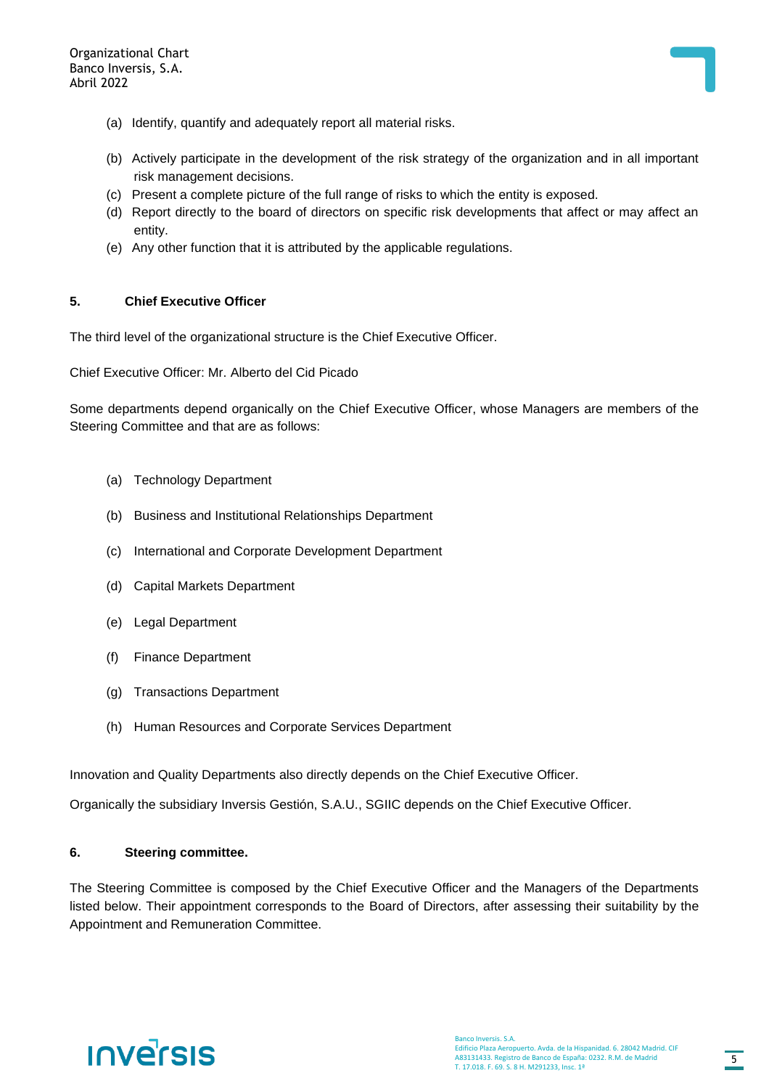

- (a) Identify, quantify and adequately report all material risks.
- (b) Actively participate in the development of the risk strategy of the organization and in all important risk management decisions.
- (c) Present a complete picture of the full range of risks to which the entity is exposed.
- (d) Report directly to the board of directors on specific risk developments that affect or may affect an entity.
- (e) Any other function that it is attributed by the applicable regulations.

# **5. Chief Executive Officer**

The third level of the organizational structure is the Chief Executive Officer.

Chief Executive Officer: Mr. Alberto del Cid Picado

Some departments depend organically on the Chief Executive Officer, whose Managers are members of the Steering Committee and that are as follows:

- (a) Technology Department
- (b) Business and Institutional Relationships Department
- (c) International and Corporate Development Department
- (d) Capital Markets Department
- (e) Legal Department
- (f) Finance Department
- (g) Transactions Department
- (h) Human Resources and Corporate Services Department

Innovation and Quality Departments also directly depends on the Chief Executive Officer.

Organically the subsidiary Inversis Gestión, S.A.U., SGIIC depends on the Chief Executive Officer.

## **6. Steering committee.**

The Steering Committee is composed by the Chief Executive Officer and the Managers of the Departments listed below. Their appointment corresponds to the Board of Directors, after assessing their suitability by the Appointment and Remuneration Committee.